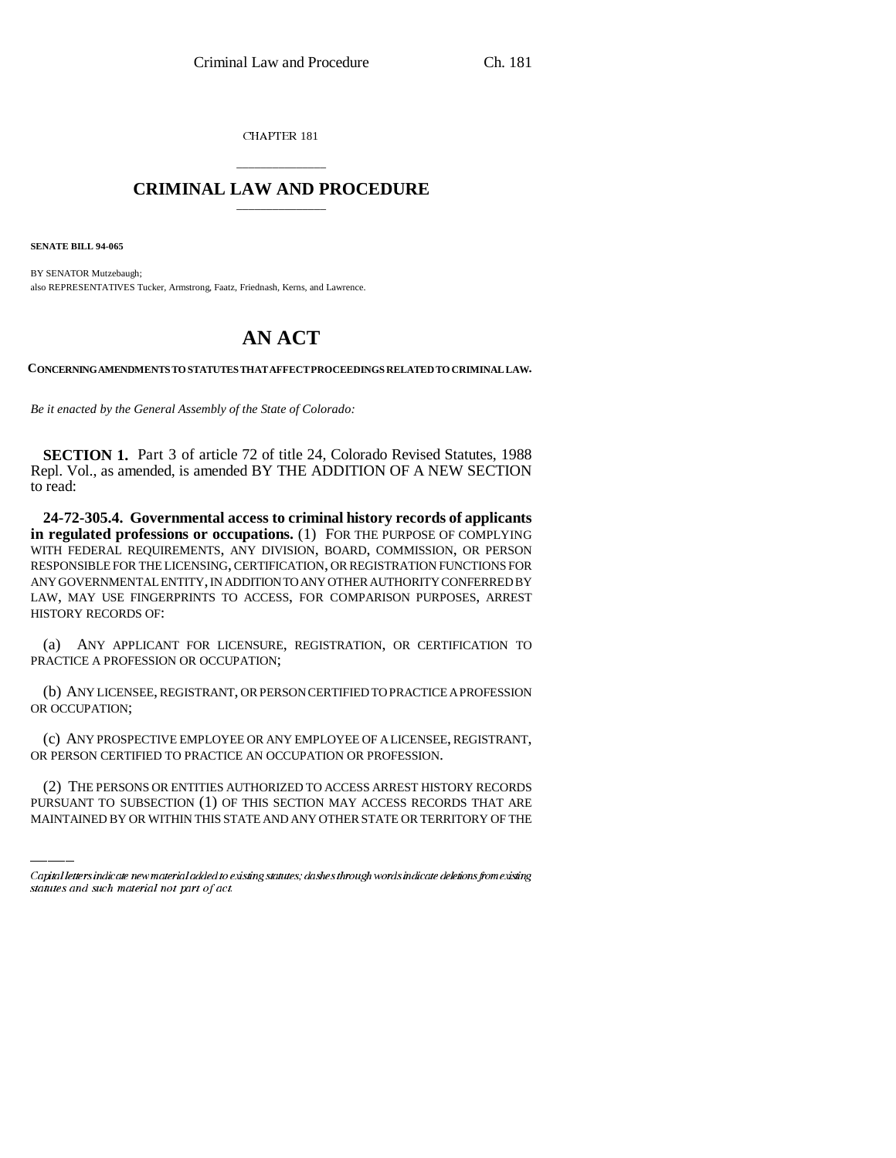CHAPTER 181

## \_\_\_\_\_\_\_\_\_\_\_\_\_\_\_ **CRIMINAL LAW AND PROCEDURE** \_\_\_\_\_\_\_\_\_\_\_\_\_\_\_

**SENATE BILL 94-065**

BY SENATOR Mutzebaugh; also REPRESENTATIVES Tucker, Armstrong, Faatz, Friednash, Kerns, and Lawrence.

## **AN ACT**

**CONCERNING AMENDMENTS TO STATUTES THAT AFFECT PROCEEDINGS RELATED TO CRIMINAL LAW.**

*Be it enacted by the General Assembly of the State of Colorado:*

**SECTION 1.** Part 3 of article 72 of title 24, Colorado Revised Statutes, 1988 Repl. Vol., as amended, is amended BY THE ADDITION OF A NEW SECTION to read:

**24-72-305.4. Governmental access to criminal history records of applicants in regulated professions or occupations.** (1) FOR THE PURPOSE OF COMPLYING WITH FEDERAL REQUIREMENTS, ANY DIVISION, BOARD, COMMISSION, OR PERSON RESPONSIBLE FOR THE LICENSING, CERTIFICATION, OR REGISTRATION FUNCTIONS FOR ANY GOVERNMENTAL ENTITY, IN ADDITION TO ANY OTHER AUTHORITY CONFERRED BY LAW, MAY USE FINGERPRINTS TO ACCESS, FOR COMPARISON PURPOSES, ARREST HISTORY RECORDS OF:

(a) ANY APPLICANT FOR LICENSURE, REGISTRATION, OR CERTIFICATION TO PRACTICE A PROFESSION OR OCCUPATION;

(b) ANY LICENSEE, REGISTRANT, OR PERSON CERTIFIED TO PRACTICE A PROFESSION OR OCCUPATION;

OR PERSON CERTIFIED TO PRACTICE AN OCCUPATION OR PROFESSION. (c) ANY PROSPECTIVE EMPLOYEE OR ANY EMPLOYEE OF A LICENSEE, REGISTRANT,

(2) THE PERSONS OR ENTITIES AUTHORIZED TO ACCESS ARREST HISTORY RECORDS PURSUANT TO SUBSECTION (1) OF THIS SECTION MAY ACCESS RECORDS THAT ARE MAINTAINED BY OR WITHIN THIS STATE AND ANY OTHER STATE OR TERRITORY OF THE

Capital letters indicate new material added to existing statutes; dashes through words indicate deletions from existing statutes and such material not part of act.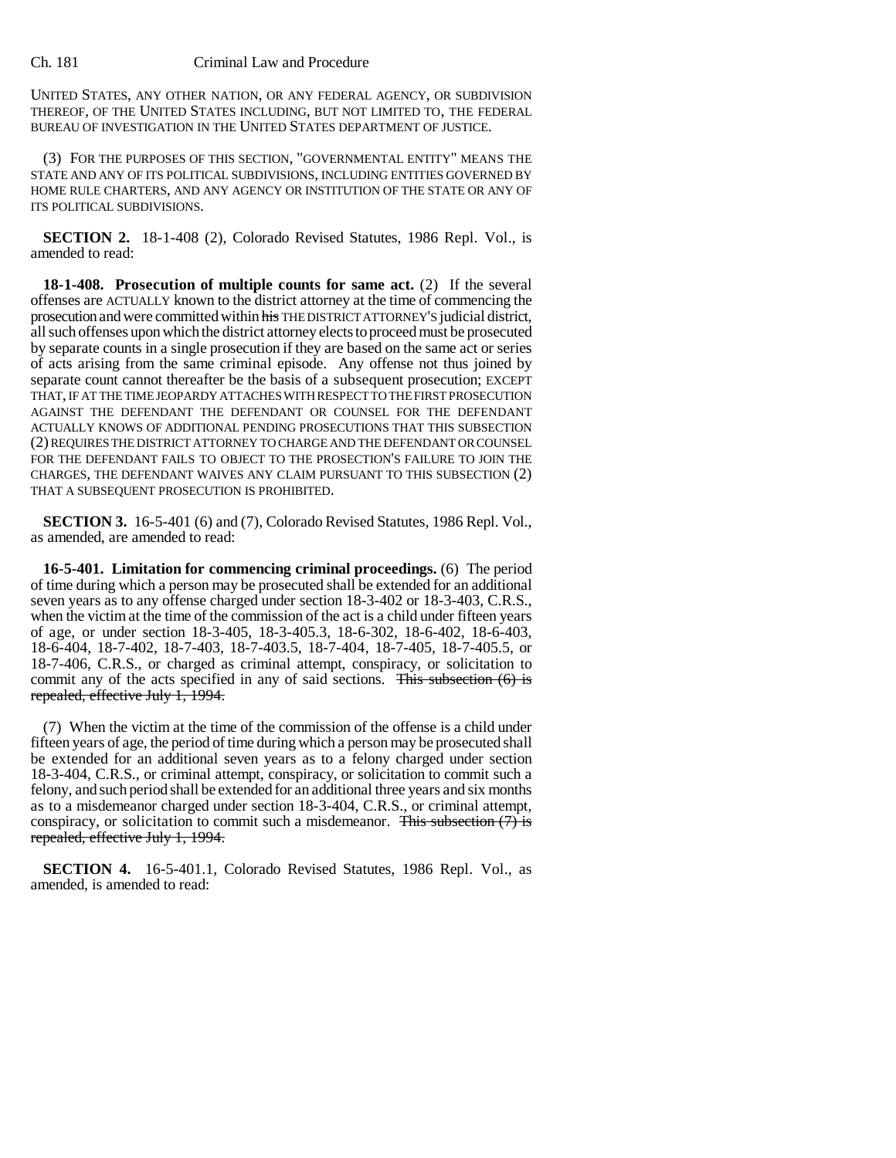## Ch. 181 Criminal Law and Procedure

UNITED STATES, ANY OTHER NATION, OR ANY FEDERAL AGENCY, OR SUBDIVISION THEREOF, OF THE UNITED STATES INCLUDING, BUT NOT LIMITED TO, THE FEDERAL BUREAU OF INVESTIGATION IN THE UNITED STATES DEPARTMENT OF JUSTICE.

(3) FOR THE PURPOSES OF THIS SECTION, "GOVERNMENTAL ENTITY" MEANS THE STATE AND ANY OF ITS POLITICAL SUBDIVISIONS, INCLUDING ENTITIES GOVERNED BY HOME RULE CHARTERS, AND ANY AGENCY OR INSTITUTION OF THE STATE OR ANY OF ITS POLITICAL SUBDIVISIONS.

**SECTION 2.** 18-1-408 (2), Colorado Revised Statutes, 1986 Repl. Vol., is amended to read:

**18-1-408. Prosecution of multiple counts for same act.** (2) If the several offenses are ACTUALLY known to the district attorney at the time of commencing the prosecution and were committed within his THE DISTRICT ATTORNEY'S judicial district, all such offenses upon which the district attorney elects to proceed must be prosecuted by separate counts in a single prosecution if they are based on the same act or series of acts arising from the same criminal episode. Any offense not thus joined by separate count cannot thereafter be the basis of a subsequent prosecution; EXCEPT THAT, IF AT THE TIME JEOPARDY ATTACHES WITH RESPECT TO THE FIRST PROSECUTION AGAINST THE DEFENDANT THE DEFENDANT OR COUNSEL FOR THE DEFENDANT ACTUALLY KNOWS OF ADDITIONAL PENDING PROSECUTIONS THAT THIS SUBSECTION (2) REQUIRES THE DISTRICT ATTORNEY TO CHARGE AND THE DEFENDANT OR COUNSEL FOR THE DEFENDANT FAILS TO OBJECT TO THE PROSECTION'S FAILURE TO JOIN THE CHARGES, THE DEFENDANT WAIVES ANY CLAIM PURSUANT TO THIS SUBSECTION (2) THAT A SUBSEQUENT PROSECUTION IS PROHIBITED.

**SECTION 3.** 16-5-401 (6) and (7), Colorado Revised Statutes, 1986 Repl. Vol., as amended, are amended to read:

**16-5-401. Limitation for commencing criminal proceedings.** (6) The period of time during which a person may be prosecuted shall be extended for an additional seven years as to any offense charged under section 18-3-402 or 18-3-403, C.R.S., when the victim at the time of the commission of the act is a child under fifteen years of age, or under section 18-3-405, 18-3-405.3, 18-6-302, 18-6-402, 18-6-403, 18-6-404, 18-7-402, 18-7-403, 18-7-403.5, 18-7-404, 18-7-405, 18-7-405.5, or 18-7-406, C.R.S., or charged as criminal attempt, conspiracy, or solicitation to commit any of the acts specified in any of said sections. This subsection (6) is repealed, effective July 1, 1994.

(7) When the victim at the time of the commission of the offense is a child under fifteen years of age, the period of time during which a person may be prosecuted shall be extended for an additional seven years as to a felony charged under section 18-3-404, C.R.S., or criminal attempt, conspiracy, or solicitation to commit such a felony, and such period shall be extended for an additional three years and six months as to a misdemeanor charged under section 18-3-404, C.R.S., or criminal attempt, conspiracy, or solicitation to commit such a misdemeanor. This subsection  $(7)$  is repealed, effective July 1, 1994.

**SECTION 4.** 16-5-401.1, Colorado Revised Statutes, 1986 Repl. Vol., as amended, is amended to read: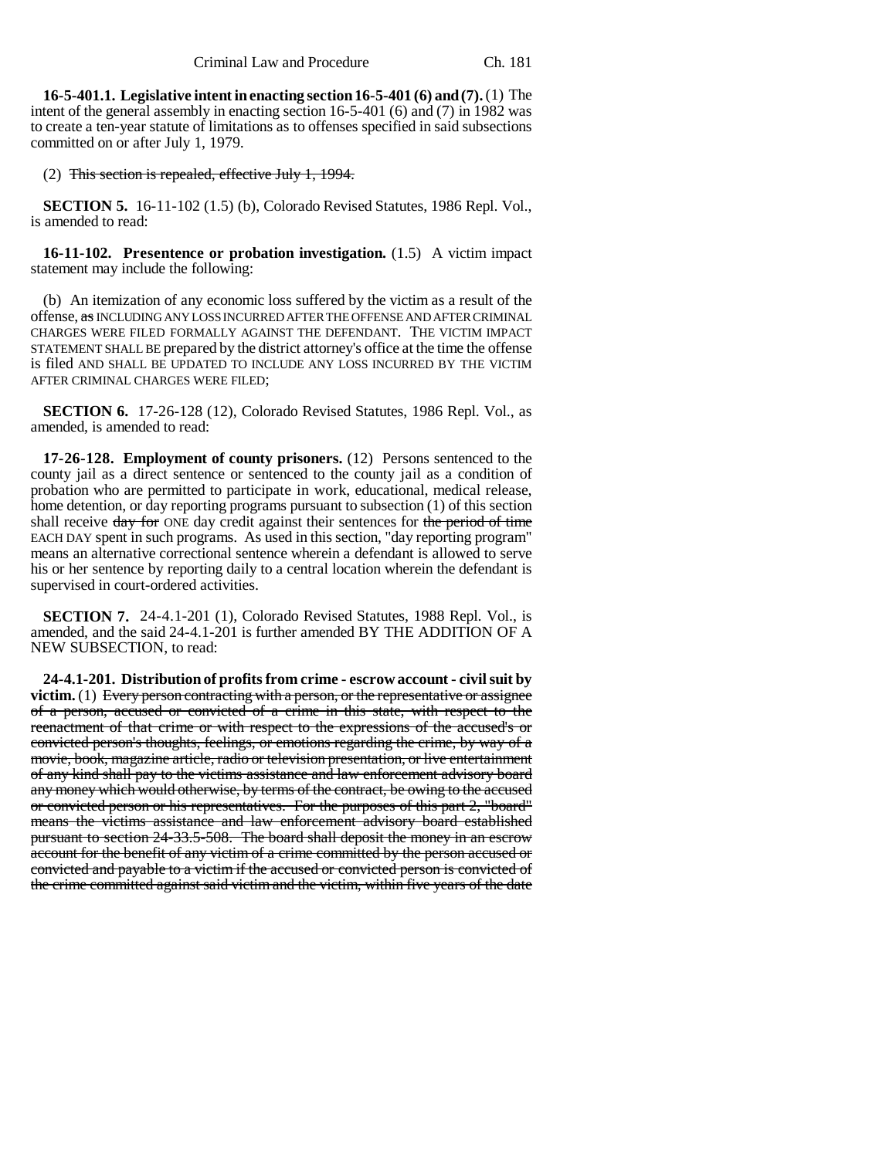**16-5-401.1. Legislative intent in enacting section 16-5-401 (6) and (7).** (1) The intent of the general assembly in enacting section 16-5-401 (6) and (7) in 1982 was to create a ten-year statute of limitations as to offenses specified in said subsections committed on or after July 1, 1979.

(2) This section is repealed, effective July 1, 1994.

**SECTION 5.** 16-11-102 (1.5) (b), Colorado Revised Statutes, 1986 Repl. Vol., is amended to read:

**16-11-102. Presentence or probation investigation.** (1.5) A victim impact statement may include the following:

(b) An itemization of any economic loss suffered by the victim as a result of the offense, as INCLUDING ANY LOSS INCURRED AFTER THE OFFENSE AND AFTER CRIMINAL CHARGES WERE FILED FORMALLY AGAINST THE DEFENDANT. THE VICTIM IMPACT STATEMENT SHALL BE prepared by the district attorney's office at the time the offense is filed AND SHALL BE UPDATED TO INCLUDE ANY LOSS INCURRED BY THE VICTIM AFTER CRIMINAL CHARGES WERE FILED;

**SECTION 6.** 17-26-128 (12), Colorado Revised Statutes, 1986 Repl. Vol., as amended, is amended to read:

**17-26-128. Employment of county prisoners.** (12) Persons sentenced to the county jail as a direct sentence or sentenced to the county jail as a condition of probation who are permitted to participate in work, educational, medical release, home detention, or day reporting programs pursuant to subsection (1) of this section shall receive day for ONE day credit against their sentences for the period of time EACH DAY spent in such programs. As used in this section, "day reporting program" means an alternative correctional sentence wherein a defendant is allowed to serve his or her sentence by reporting daily to a central location wherein the defendant is supervised in court-ordered activities.

**SECTION 7.** 24-4.1-201 (1), Colorado Revised Statutes, 1988 Repl. Vol., is amended, and the said 24-4.1-201 is further amended BY THE ADDITION OF A NEW SUBSECTION, to read:

**24-4.1-201. Distribution of profits from crime - escrow account - civil suit by victim.** (1) Every person contracting with a person, or the representative or assignee of a person, accused or convicted of a crime in this state, with respect to the reenactment of that crime or with respect to the expressions of the accused's or convicted person's thoughts, feelings, or emotions regarding the crime, by way of a movie, book, magazine article, radio or television presentation, or live entertainment of any kind shall pay to the victims assistance and law enforcement advisory board any money which would otherwise, by terms of the contract, be owing to the accused or convicted person or his representatives. For the purposes of this part 2, "board" means the victims assistance and law enforcement advisory board established pursuant to section 24-33.5-508. The board shall deposit the money in an escrow account for the benefit of any victim of a crime committed by the person accused or convicted and payable to a victim if the accused or convicted person is convicted of the crime committed against said victim and the victim, within five years of the date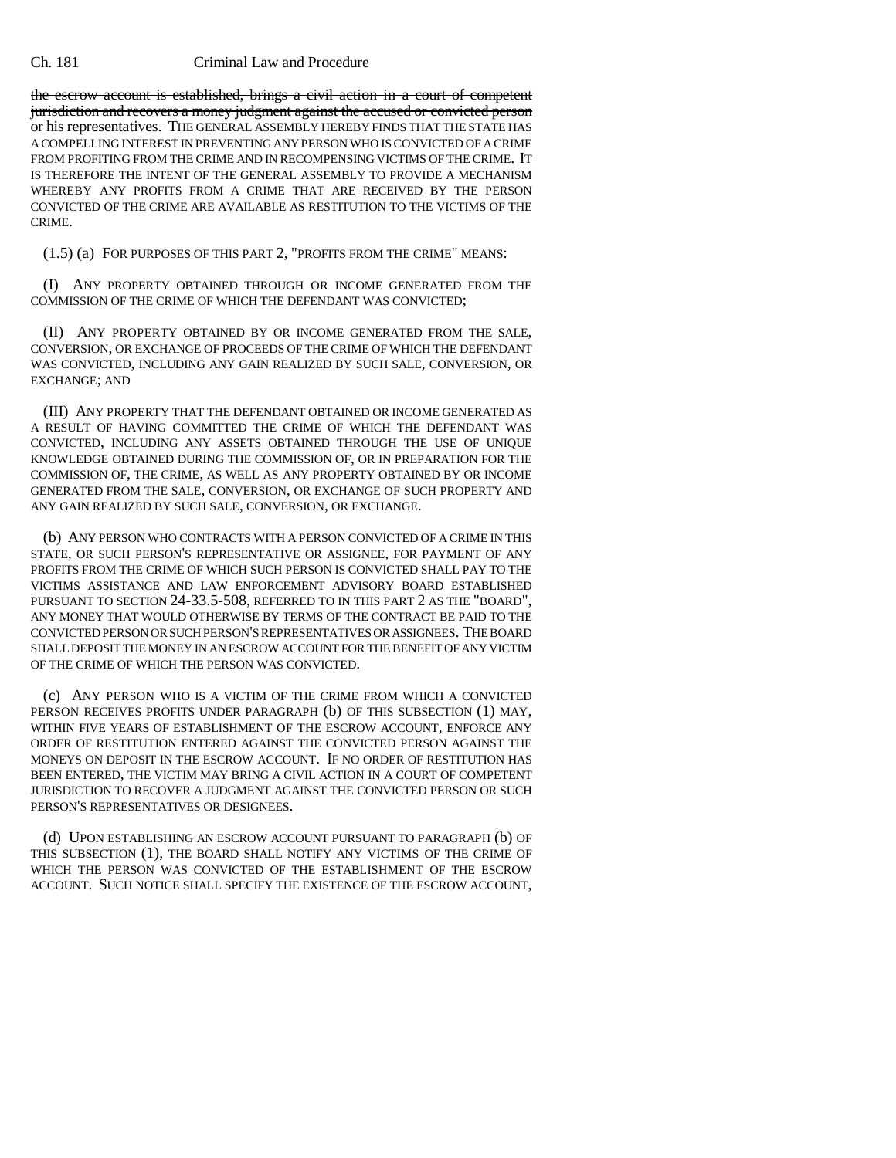## Ch. 181 Criminal Law and Procedure

the escrow account is established, brings a civil action in a court of competent jurisdiction and recovers a money judgment against the accused or convicted person or his representatives. THE GENERAL ASSEMBLY HEREBY FINDS THAT THE STATE HAS A COMPELLING INTEREST IN PREVENTING ANY PERSON WHO IS CONVICTED OF A CRIME FROM PROFITING FROM THE CRIME AND IN RECOMPENSING VICTIMS OF THE CRIME. IT IS THEREFORE THE INTENT OF THE GENERAL ASSEMBLY TO PROVIDE A MECHANISM WHEREBY ANY PROFITS FROM A CRIME THAT ARE RECEIVED BY THE PERSON CONVICTED OF THE CRIME ARE AVAILABLE AS RESTITUTION TO THE VICTIMS OF THE CRIME.

(1.5) (a) FOR PURPOSES OF THIS PART 2, "PROFITS FROM THE CRIME" MEANS:

(I) ANY PROPERTY OBTAINED THROUGH OR INCOME GENERATED FROM THE COMMISSION OF THE CRIME OF WHICH THE DEFENDANT WAS CONVICTED;

(II) ANY PROPERTY OBTAINED BY OR INCOME GENERATED FROM THE SALE, CONVERSION, OR EXCHANGE OF PROCEEDS OF THE CRIME OF WHICH THE DEFENDANT WAS CONVICTED, INCLUDING ANY GAIN REALIZED BY SUCH SALE, CONVERSION, OR EXCHANGE; AND

(III) ANY PROPERTY THAT THE DEFENDANT OBTAINED OR INCOME GENERATED AS A RESULT OF HAVING COMMITTED THE CRIME OF WHICH THE DEFENDANT WAS CONVICTED, INCLUDING ANY ASSETS OBTAINED THROUGH THE USE OF UNIQUE KNOWLEDGE OBTAINED DURING THE COMMISSION OF, OR IN PREPARATION FOR THE COMMISSION OF, THE CRIME, AS WELL AS ANY PROPERTY OBTAINED BY OR INCOME GENERATED FROM THE SALE, CONVERSION, OR EXCHANGE OF SUCH PROPERTY AND ANY GAIN REALIZED BY SUCH SALE, CONVERSION, OR EXCHANGE.

(b) ANY PERSON WHO CONTRACTS WITH A PERSON CONVICTED OF A CRIME IN THIS STATE, OR SUCH PERSON'S REPRESENTATIVE OR ASSIGNEE, FOR PAYMENT OF ANY PROFITS FROM THE CRIME OF WHICH SUCH PERSON IS CONVICTED SHALL PAY TO THE VICTIMS ASSISTANCE AND LAW ENFORCEMENT ADVISORY BOARD ESTABLISHED PURSUANT TO SECTION 24-33.5-508, REFERRED TO IN THIS PART 2 AS THE "BOARD", ANY MONEY THAT WOULD OTHERWISE BY TERMS OF THE CONTRACT BE PAID TO THE CONVICTED PERSON OR SUCH PERSON'S REPRESENTATIVES OR ASSIGNEES. THE BOARD SHALL DEPOSIT THE MONEY IN AN ESCROW ACCOUNT FOR THE BENEFIT OF ANY VICTIM OF THE CRIME OF WHICH THE PERSON WAS CONVICTED.

(c) ANY PERSON WHO IS A VICTIM OF THE CRIME FROM WHICH A CONVICTED PERSON RECEIVES PROFITS UNDER PARAGRAPH (b) OF THIS SUBSECTION (1) MAY, WITHIN FIVE YEARS OF ESTABLISHMENT OF THE ESCROW ACCOUNT, ENFORCE ANY ORDER OF RESTITUTION ENTERED AGAINST THE CONVICTED PERSON AGAINST THE MONEYS ON DEPOSIT IN THE ESCROW ACCOUNT. IF NO ORDER OF RESTITUTION HAS BEEN ENTERED, THE VICTIM MAY BRING A CIVIL ACTION IN A COURT OF COMPETENT JURISDICTION TO RECOVER A JUDGMENT AGAINST THE CONVICTED PERSON OR SUCH PERSON'S REPRESENTATIVES OR DESIGNEES.

(d) UPON ESTABLISHING AN ESCROW ACCOUNT PURSUANT TO PARAGRAPH (b) OF THIS SUBSECTION (1), THE BOARD SHALL NOTIFY ANY VICTIMS OF THE CRIME OF WHICH THE PERSON WAS CONVICTED OF THE ESTABLISHMENT OF THE ESCROW ACCOUNT. SUCH NOTICE SHALL SPECIFY THE EXISTENCE OF THE ESCROW ACCOUNT,